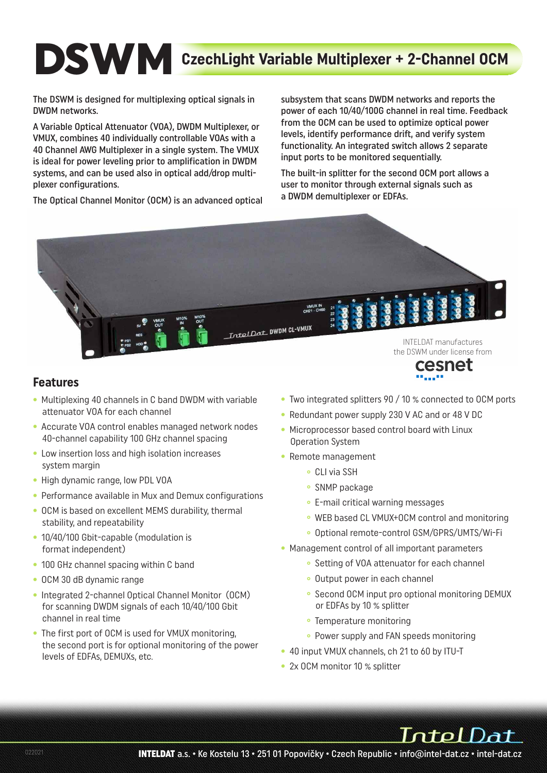# **DSWM** CzechLight Variable Multiplexer + 2-Channel OCM

The DSWM is designed for multiplexing optical signals in DWDM networks.

A Variable Optical Attenuator (VOA), DWDM Multiplexer, or VMUX, combines 40 individually controllable VOAs with a 40 Channel AWG Multiplexer in a single system. The VMUX is ideal for power leveling prior to amplification in DWDM systems, and can be used also in optical add/drop multiplexer configurations.

The Optical Channel Monitor (OCM) is an advanced optical

subsystem that scans DWDM networks and reports the power of each 10/40/100G channel in real time. Feedback from the OCM can be used to optimize optical power levels, identify performance drift, and verify system functionality. An integrated switch allows 2 separate input ports to be monitored sequentially.

The built-in splitter for the second OCM port allows a user to monitor through external signals such as a DWDM demultiplexer or EDFAs.



#### **Features**

- Multiplexing 40 channels in C band DWDM with variable attenuator VOA for each channel
- Accurate VOA control enables managed network nodes 40-channel capability 100 GHz channel spacing
- Low insertion loss and high isolation increases system margin
- High dynamic range, low PDL VOA
- Performance available in Mux and Demux configurations
- OCM is based on excellent MEMS durability, thermal stability, and repeatability
- 10/40/100 Gbit-capable (modulation is format independent)
- 100 GHz channel spacing within C band
- OCM 30 dB dynamic range
- Integrated 2-channel Optical Channel Monitor (OCM) for scanning DWDM signals of each 10/40/100 Gbit channel in real time
- The first port of OCM is used for VMUX monitoring, the second port is for optional monitoring of the power levels of EDFAs, DEMUXs, etc.
- Two integrated splitters 90 / 10 % connected to OCM ports
- Redundant power supply 230 V AC and or 48 V DC
- Microprocessor based control board with Linux Operation System
- Remote management
	- **°** CLI via SSH
	- **°** SNMP package
	- **°** E-mail critical warning messages
	- **°** WEB based CL VMUX+OCM control and monitoring
	- **°** Optional remote-control GSM/GPRS/UMTS/Wi-Fi
- Management control of all important parameters
	- **°** Setting of VOA attenuator for each channel
	- **°** Output power in each channel
	- **°** Second OCM input pro optional monitoring DEMUX or EDFAs by 10 % splitter
	- **°** Temperature monitoring
	- **°** Power supply and FAN speeds monitoring
- 40 input VMUX channels, ch 21 to 60 by ITU-T
- 2x OCM monitor 10 % splitter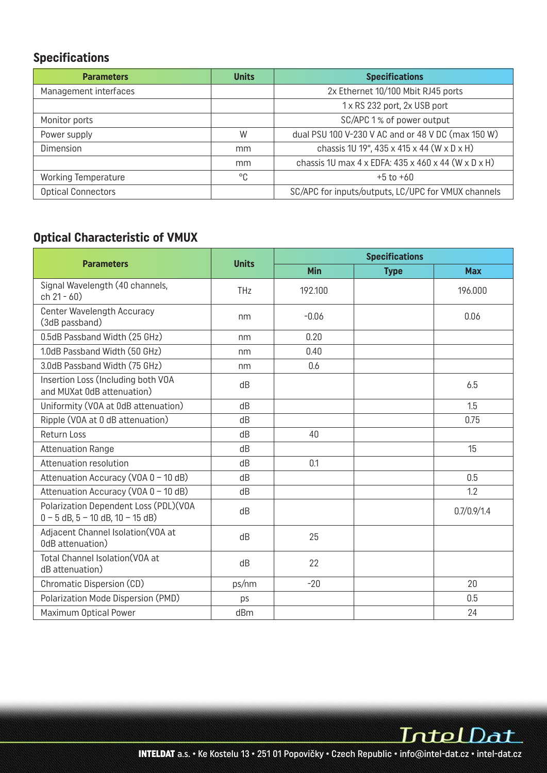# **Specifications**

| <b>Parameters</b>          | <b>Units</b> | <b>Specifications</b>                                                                |
|----------------------------|--------------|--------------------------------------------------------------------------------------|
| Management interfaces      |              | 2x Ethernet 10/100 Mbit RJ45 ports                                                   |
|                            |              | 1 x RS 232 port, 2x USB port                                                         |
| Monitor ports              |              | SC/APC 1% of power output                                                            |
| Power supply               | W            | dual PSU 100 V-230 V AC and or 48 V DC (max 150 W)                                   |
| Dimension                  | mm           | chassis 1U 19", 435 x 415 x 44 (W x D x H)                                           |
|                            | mm           | chassis 1U max $4 \times$ EDFA: $435 \times 460 \times 44$ (W $\times$ D $\times$ H) |
| <b>Working Temperature</b> | °C           | $+5$ to $+60$                                                                        |
| <b>Optical Connectors</b>  |              | SC/APC for inputs/outputs, LC/UPC for VMUX channels                                  |

# **Optical Characteristic of VMUX**

|                                                                                 |              | <b>Specifications</b> |             |             |  |  |
|---------------------------------------------------------------------------------|--------------|-----------------------|-------------|-------------|--|--|
| <b>Parameters</b>                                                               | <b>Units</b> | <b>Min</b>            | <b>Type</b> | <b>Max</b>  |  |  |
| Signal Wavelength (40 channels,<br>$ch 21 - 60$                                 | <b>THz</b>   | 192.100               |             | 196.000     |  |  |
| <b>Center Wavelength Accuracy</b><br>(3dB passband)                             | nm           | $-0.06$               |             | 0.06        |  |  |
| 0.5dB Passband Width (25 GHz)                                                   | nm           | 0.20                  |             |             |  |  |
| 1.0dB Passband Width (50 GHz)                                                   | nm           | 0.40                  |             |             |  |  |
| 3.0dB Passband Width (75 GHz)                                                   | nm           | 0.6                   |             |             |  |  |
| Insertion Loss (Including both VOA<br>and MUXat 0dB attenuation)                | dB           |                       |             | 6.5         |  |  |
| Uniformity (VOA at OdB attenuation)                                             | dB           |                       |             | 1.5         |  |  |
| Ripple (VOA at 0 dB attenuation)                                                | dB           |                       |             | 0.75        |  |  |
| <b>Return Loss</b>                                                              | dB           | 40                    |             |             |  |  |
| <b>Attenuation Range</b>                                                        | dB           |                       |             | 15          |  |  |
| Attenuation resolution                                                          | dB           | 0.1                   |             |             |  |  |
| Attenuation Accuracy (VOA 0 - 10 dB)                                            | dB           |                       |             | 0.5         |  |  |
| Attenuation Accuracy (VOA 0 - 10 dB)                                            | dB           |                       |             | 1.2         |  |  |
| Polarization Dependent Loss (PDL)(VOA<br>$0 - 5$ dB, $5 - 10$ dB, $10 - 15$ dB) | dB           |                       |             | 0.7/0.9/1.4 |  |  |
| Adjacent Channel Isolation(VOA at<br>0dB attenuation)                           | dB           | 25                    |             |             |  |  |
| Total Channel Isolation(VOA at<br>dB attenuation)                               | dB           | 22                    |             |             |  |  |
| Chromatic Dispersion (CD)                                                       | ps/nm        | $-20$                 |             | 20          |  |  |
| Polarization Mode Dispersion (PMD)                                              | ps           |                       |             | 0.5         |  |  |
| Maximum Optical Power                                                           | dBm          |                       |             | 24          |  |  |

IntelDat